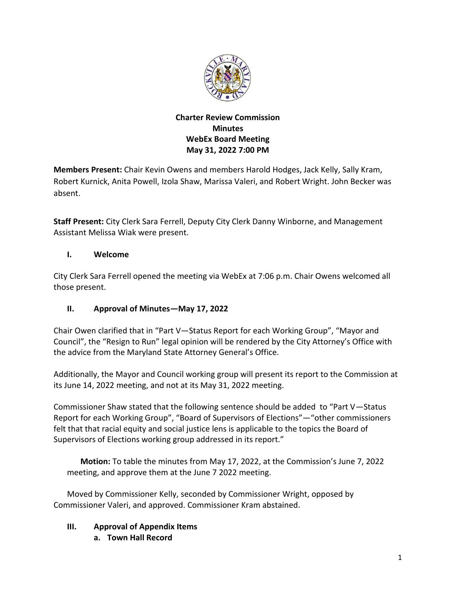

## **Charter Review Commission Minutes WebEx Board Meeting May 31, 2022 7:00 PM**

**Members Present:** Chair Kevin Owens and members Harold Hodges, Jack Kelly, Sally Kram, Robert Kurnick, Anita Powell, Izola Shaw, Marissa Valeri, and Robert Wright. John Becker was absent.

**Staff Present:** City Clerk Sara Ferrell, Deputy City Clerk Danny Winborne, and Management Assistant Melissa Wiak were present.

## **I. Welcome**

City Clerk Sara Ferrell opened the meeting via WebEx at 7:06 p.m. Chair Owens welcomed all those present.

# **II. Approval of Minutes—May 17, 2022**

Chair Owen clarified that in "Part V—Status Report for each Working Group", "Mayor and Council", the "Resign to Run" legal opinion will be rendered by the City Attorney's Office with the advice from the Maryland State Attorney General's Office.

Additionally, the Mayor and Council working group will present its report to the Commission at its June 14, 2022 meeting, and not at its May 31, 2022 meeting.

Commissioner Shaw stated that the following sentence should be added to "Part V—Status Report for each Working Group", "Board of Supervisors of Elections"—"other commissioners felt that that racial equity and social justice lens is applicable to the topics the Board of Supervisors of Elections working group addressed in its report."

**Motion:** To table the minutes from May 17, 2022, at the Commission's June 7, 2022 meeting, and approve them at the June 7 2022 meeting.

Moved by Commissioner Kelly, seconded by Commissioner Wright, opposed by Commissioner Valeri, and approved. Commissioner Kram abstained.

# **III. Approval of Appendix Items**

**a. Town Hall Record**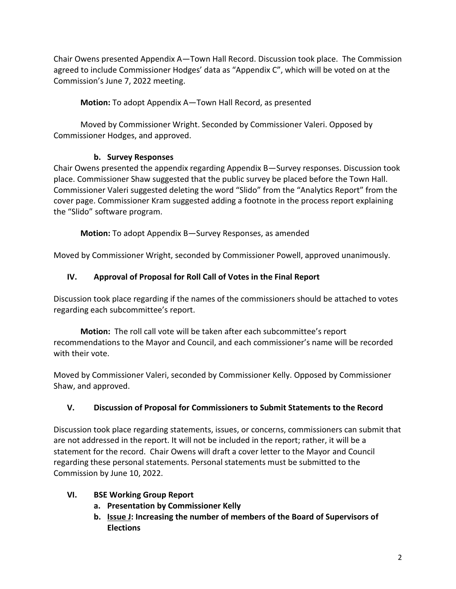Chair Owens presented Appendix A—Town Hall Record. Discussion took place. The Commission agreed to include Commissioner Hodges' data as "Appendix C", which will be voted on at the Commission's June 7, 2022 meeting.

**Motion:** To adopt Appendix A—Town Hall Record, as presented

Moved by Commissioner Wright. Seconded by Commissioner Valeri. Opposed by Commissioner Hodges, and approved.

# **b. Survey Responses**

Chair Owens presented the appendix regarding Appendix B—Survey responses. Discussion took place. Commissioner Shaw suggested that the public survey be placed before the Town Hall. Commissioner Valeri suggested deleting the word "Slido" from the "Analytics Report" from the cover page. Commissioner Kram suggested adding a footnote in the process report explaining the "Slido" software program.

**Motion:** To adopt Appendix B—Survey Responses, as amended

Moved by Commissioner Wright, seconded by Commissioner Powell, approved unanimously.

## **IV. Approval of Proposal for Roll Call of Votes in the Final Report**

Discussion took place regarding if the names of the commissioners should be attached to votes regarding each subcommittee's report.

**Motion:** The roll call vote will be taken after each subcommittee's report recommendations to the Mayor and Council, and each commissioner's name will be recorded with their vote.

Moved by Commissioner Valeri, seconded by Commissioner Kelly. Opposed by Commissioner Shaw, and approved.

# **V. Discussion of Proposal for Commissioners to Submit Statements to the Record**

Discussion took place regarding statements, issues, or concerns, commissioners can submit that are not addressed in the report. It will not be included in the report; rather, it will be a statement for the record. Chair Owens will draft a cover letter to the Mayor and Council regarding these personal statements. Personal statements must be submitted to the Commission by June 10, 2022.

- **VI. BSE Working Group Report**
	- **a. Presentation by Commissioner Kelly**
	- **b. Issue J: Increasing the number of members of the Board of Supervisors of Elections**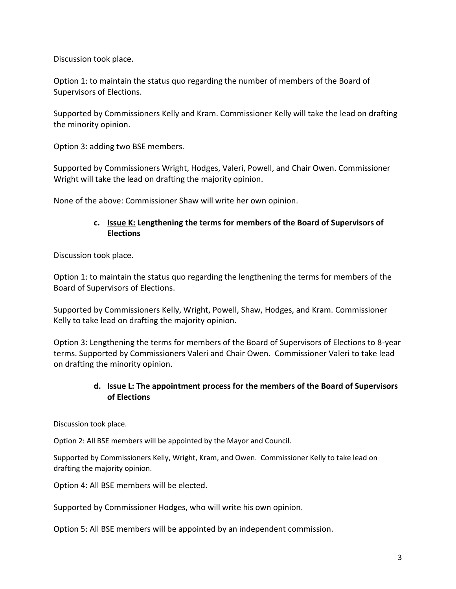Discussion took place.

Option 1: to maintain the status quo regarding the number of members of the Board of Supervisors of Elections.

Supported by Commissioners Kelly and Kram. Commissioner Kelly will take the lead on drafting the minority opinion.

Option 3: adding two BSE members.

Supported by Commissioners Wright, Hodges, Valeri, Powell, and Chair Owen. Commissioner Wright will take the lead on drafting the majority opinion.

None of the above: Commissioner Shaw will write her own opinion.

#### **c. Issue K: Lengthening the terms for members of the Board of Supervisors of Elections**

Discussion took place.

Option 1: to maintain the status quo regarding the lengthening the terms for members of the Board of Supervisors of Elections.

Supported by Commissioners Kelly, Wright, Powell, Shaw, Hodges, and Kram. Commissioner Kelly to take lead on drafting the majority opinion.

Option 3: Lengthening the terms for members of the Board of Supervisors of Elections to 8-year terms. Supported by Commissioners Valeri and Chair Owen. Commissioner Valeri to take lead on drafting the minority opinion.

## **d. Issue L: The appointment process for the members of the Board of Supervisors of Elections**

Discussion took place.

Option 2: All BSE members will be appointed by the Mayor and Council.

Supported by Commissioners Kelly, Wright, Kram, and Owen. Commissioner Kelly to take lead on drafting the majority opinion.

Option 4: All BSE members will be elected.

Supported by Commissioner Hodges, who will write his own opinion.

Option 5: All BSE members will be appointed by an independent commission.